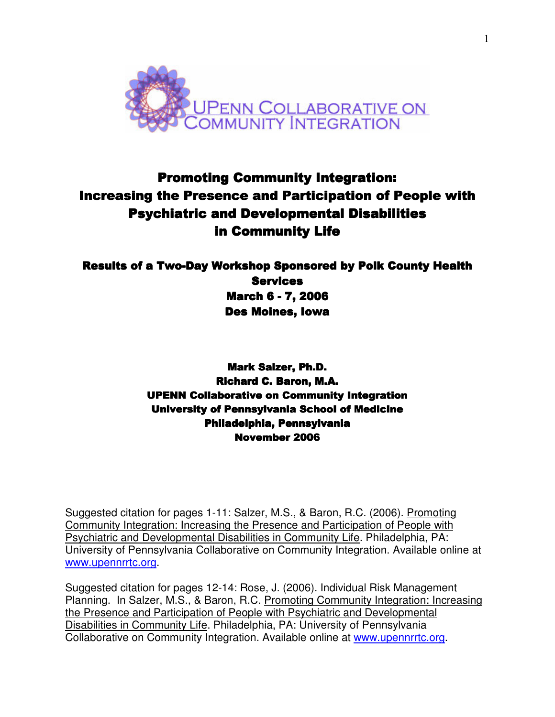

# **Promoting Community Integration:** Increasing the Presence and Participation of People with Psychiatric and Developmental Disabilities in Community Life

# Results of a Two-Day Workshop Sponsored by Polk County Health **Services March 6 - 7, 2006** Des Moines, Iowa

**Mark Salzer, Ph.D.** Richard C. Baron, M.A. UPENN Collaborative on Community Integration Collaborative on Community Integration University of Pennsylvania School of Medicine Philadelphia, Pennsylvania November 2006

Suggested citation for pages 1-11: Salzer, M.S., & Baron, R.C. (2006). Promoting Community Integration: Increasing the Presence and Participation of People with Psychiatric and Developmental Disabilities in Community Life. Philadelphia, PA: University of Pennsylvania Collaborative on Community Integration. Available online at www.upennrrtc.org.

Suggested citation for pages 12-14: Rose, J. (2006). Individual Risk Management Planning. In Salzer, M.S., & Baron, R.C. Promoting Community Integration: Increasing the Presence and Participation of People with Psychiatric and Developmental Disabilities in Community Life. Philadelphia, PA: University of Pennsylvania Collaborative on Community Integration. Available online at www.upennrrtc.org.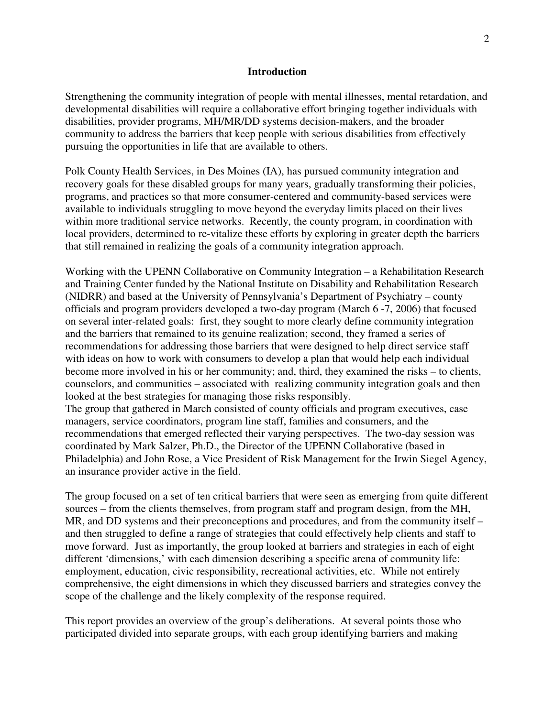#### **Introduction**

Strengthening the community integration of people with mental illnesses, mental retardation, and developmental disabilities will require a collaborative effort bringing together individuals with disabilities, provider programs, MH/MR/DD systems decision-makers, and the broader community to address the barriers that keep people with serious disabilities from effectively pursuing the opportunities in life that are available to others.

Polk County Health Services, in Des Moines (IA), has pursued community integration and recovery goals for these disabled groups for many years, gradually transforming their policies, programs, and practices so that more consumer-centered and community-based services were available to individuals struggling to move beyond the everyday limits placed on their lives within more traditional service networks. Recently, the county program, in coordination with local providers, determined to re-vitalize these efforts by exploring in greater depth the barriers that still remained in realizing the goals of a community integration approach.

Working with the UPENN Collaborative on Community Integration – a Rehabilitation Research and Training Center funded by the National Institute on Disability and Rehabilitation Research (NIDRR) and based at the University of Pennsylvania's Department of Psychiatry – county officials and program providers developed a two-day program (March 6 -7, 2006) that focused on several inter-related goals: first, they sought to more clearly define community integration and the barriers that remained to its genuine realization; second, they framed a series of recommendations for addressing those barriers that were designed to help direct service staff with ideas on how to work with consumers to develop a plan that would help each individual become more involved in his or her community; and, third, they examined the risks – to clients, counselors, and communities – associated with realizing community integration goals and then looked at the best strategies for managing those risks responsibly.

The group that gathered in March consisted of county officials and program executives, case managers, service coordinators, program line staff, families and consumers, and the recommendations that emerged reflected their varying perspectives. The two-day session was coordinated by Mark Salzer, Ph.D., the Director of the UPENN Collaborative (based in Philadelphia) and John Rose, a Vice President of Risk Management for the Irwin Siegel Agency, an insurance provider active in the field.

The group focused on a set of ten critical barriers that were seen as emerging from quite different sources – from the clients themselves, from program staff and program design, from the MH, MR, and DD systems and their preconceptions and procedures, and from the community itself – and then struggled to define a range of strategies that could effectively help clients and staff to move forward. Just as importantly, the group looked at barriers and strategies in each of eight different 'dimensions,' with each dimension describing a specific arena of community life: employment, education, civic responsibility, recreational activities, etc. While not entirely comprehensive, the eight dimensions in which they discussed barriers and strategies convey the scope of the challenge and the likely complexity of the response required.

This report provides an overview of the group's deliberations. At several points those who participated divided into separate groups, with each group identifying barriers and making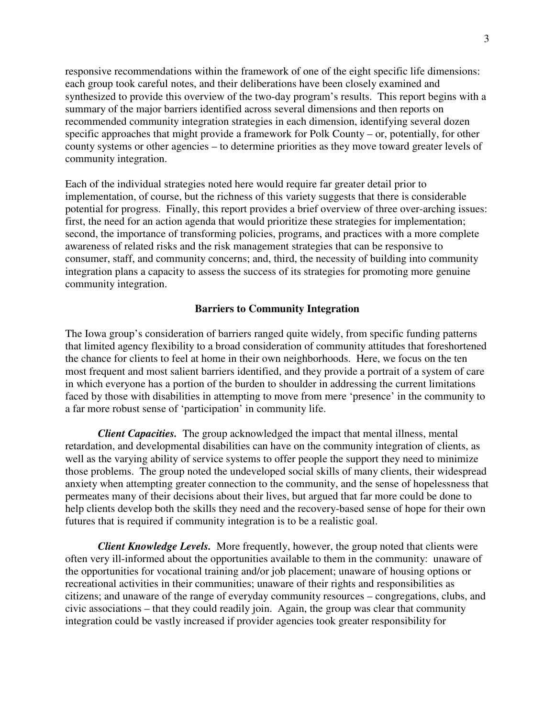responsive recommendations within the framework of one of the eight specific life dimensions: each group took careful notes, and their deliberations have been closely examined and synthesized to provide this overview of the two-day program's results. This report begins with a summary of the major barriers identified across several dimensions and then reports on recommended community integration strategies in each dimension, identifying several dozen specific approaches that might provide a framework for Polk County – or, potentially, for other county systems or other agencies – to determine priorities as they move toward greater levels of community integration.

Each of the individual strategies noted here would require far greater detail prior to implementation, of course, but the richness of this variety suggests that there is considerable potential for progress. Finally, this report provides a brief overview of three over-arching issues: first, the need for an action agenda that would prioritize these strategies for implementation; second, the importance of transforming policies, programs, and practices with a more complete awareness of related risks and the risk management strategies that can be responsive to consumer, staff, and community concerns; and, third, the necessity of building into community integration plans a capacity to assess the success of its strategies for promoting more genuine community integration.

#### **Barriers to Community Integration**

The Iowa group's consideration of barriers ranged quite widely, from specific funding patterns that limited agency flexibility to a broad consideration of community attitudes that foreshortened the chance for clients to feel at home in their own neighborhoods. Here, we focus on the ten most frequent and most salient barriers identified, and they provide a portrait of a system of care in which everyone has a portion of the burden to shoulder in addressing the current limitations faced by those with disabilities in attempting to move from mere 'presence' in the community to a far more robust sense of 'participation' in community life.

*Client Capacities.* The group acknowledged the impact that mental illness, mental retardation, and developmental disabilities can have on the community integration of clients, as well as the varying ability of service systems to offer people the support they need to minimize those problems. The group noted the undeveloped social skills of many clients, their widespread anxiety when attempting greater connection to the community, and the sense of hopelessness that permeates many of their decisions about their lives, but argued that far more could be done to help clients develop both the skills they need and the recovery-based sense of hope for their own futures that is required if community integration is to be a realistic goal.

*Client Knowledge Levels.* More frequently, however, the group noted that clients were often very ill-informed about the opportunities available to them in the community: unaware of the opportunities for vocational training and/or job placement; unaware of housing options or recreational activities in their communities; unaware of their rights and responsibilities as citizens; and unaware of the range of everyday community resources – congregations, clubs, and civic associations – that they could readily join. Again, the group was clear that community integration could be vastly increased if provider agencies took greater responsibility for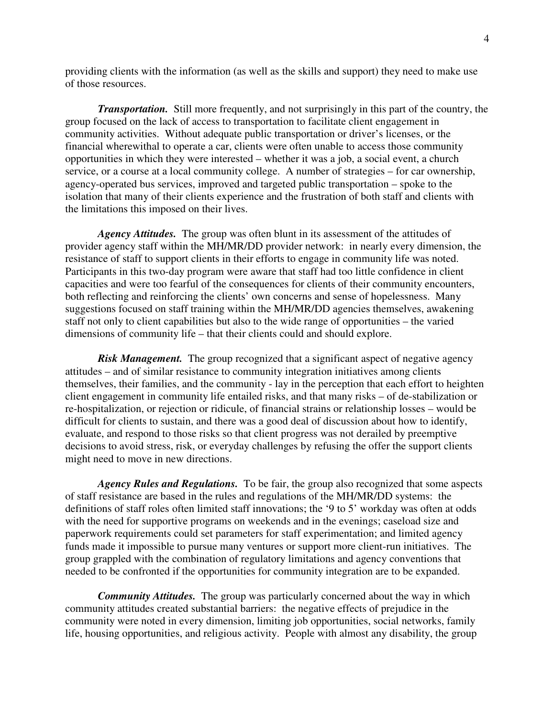providing clients with the information (as well as the skills and support) they need to make use of those resources.

*Transportation.* Still more frequently, and not surprisingly in this part of the country, the group focused on the lack of access to transportation to facilitate client engagement in community activities. Without adequate public transportation or driver's licenses, or the financial wherewithal to operate a car, clients were often unable to access those community opportunities in which they were interested – whether it was a job, a social event, a church service, or a course at a local community college. A number of strategies – for car ownership, agency-operated bus services, improved and targeted public transportation – spoke to the isolation that many of their clients experience and the frustration of both staff and clients with the limitations this imposed on their lives.

*Agency Attitudes.* The group was often blunt in its assessment of the attitudes of provider agency staff within the MH/MR/DD provider network: in nearly every dimension, the resistance of staff to support clients in their efforts to engage in community life was noted. Participants in this two-day program were aware that staff had too little confidence in client capacities and were too fearful of the consequences for clients of their community encounters, both reflecting and reinforcing the clients' own concerns and sense of hopelessness. Many suggestions focused on staff training within the MH/MR/DD agencies themselves, awakening staff not only to client capabilities but also to the wide range of opportunities – the varied dimensions of community life – that their clients could and should explore.

*Risk Management.* The group recognized that a significant aspect of negative agency attitudes – and of similar resistance to community integration initiatives among clients themselves, their families, and the community - lay in the perception that each effort to heighten client engagement in community life entailed risks, and that many risks – of de-stabilization or re-hospitalization, or rejection or ridicule, of financial strains or relationship losses – would be difficult for clients to sustain, and there was a good deal of discussion about how to identify, evaluate, and respond to those risks so that client progress was not derailed by preemptive decisions to avoid stress, risk, or everyday challenges by refusing the offer the support clients might need to move in new directions.

*Agency Rules and Regulations.* To be fair, the group also recognized that some aspects of staff resistance are based in the rules and regulations of the MH/MR/DD systems: the definitions of staff roles often limited staff innovations; the '9 to 5' workday was often at odds with the need for supportive programs on weekends and in the evenings; caseload size and paperwork requirements could set parameters for staff experimentation; and limited agency funds made it impossible to pursue many ventures or support more client-run initiatives. The group grappled with the combination of regulatory limitations and agency conventions that needed to be confronted if the opportunities for community integration are to be expanded.

*Community Attitudes.* The group was particularly concerned about the way in which community attitudes created substantial barriers: the negative effects of prejudice in the community were noted in every dimension, limiting job opportunities, social networks, family life, housing opportunities, and religious activity. People with almost any disability, the group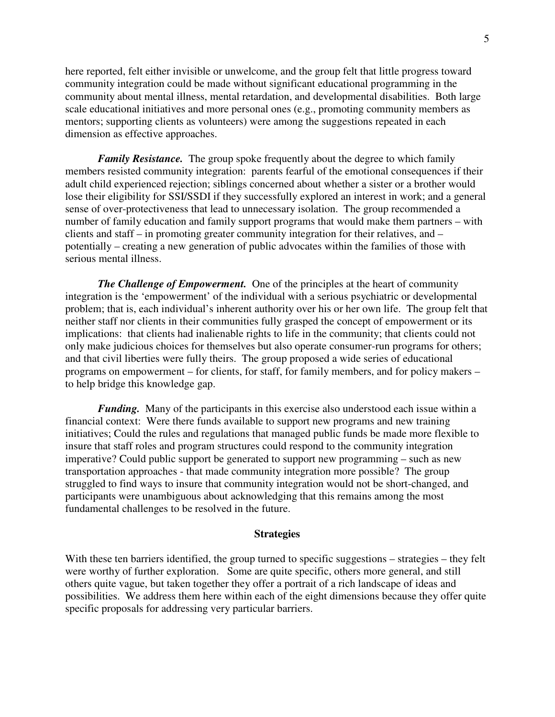here reported, felt either invisible or unwelcome, and the group felt that little progress toward community integration could be made without significant educational programming in the community about mental illness, mental retardation, and developmental disabilities. Both large scale educational initiatives and more personal ones (e.g., promoting community members as mentors; supporting clients as volunteers) were among the suggestions repeated in each dimension as effective approaches.

*Family Resistance.* The group spoke frequently about the degree to which family members resisted community integration: parents fearful of the emotional consequences if their adult child experienced rejection; siblings concerned about whether a sister or a brother would lose their eligibility for SSI/SSDI if they successfully explored an interest in work; and a general sense of over-protectiveness that lead to unnecessary isolation. The group recommended a number of family education and family support programs that would make them partners – with clients and staff – in promoting greater community integration for their relatives, and – potentially – creating a new generation of public advocates within the families of those with serious mental illness.

*The Challenge of Empowerment.* One of the principles at the heart of community integration is the 'empowerment' of the individual with a serious psychiatric or developmental problem; that is, each individual's inherent authority over his or her own life. The group felt that neither staff nor clients in their communities fully grasped the concept of empowerment or its implications: that clients had inalienable rights to life in the community; that clients could not only make judicious choices for themselves but also operate consumer-run programs for others; and that civil liberties were fully theirs. The group proposed a wide series of educational programs on empowerment – for clients, for staff, for family members, and for policy makers – to help bridge this knowledge gap.

*Funding.* Many of the participants in this exercise also understood each issue within a financial context: Were there funds available to support new programs and new training initiatives; Could the rules and regulations that managed public funds be made more flexible to insure that staff roles and program structures could respond to the community integration imperative? Could public support be generated to support new programming – such as new transportation approaches - that made community integration more possible? The group struggled to find ways to insure that community integration would not be short-changed, and participants were unambiguous about acknowledging that this remains among the most fundamental challenges to be resolved in the future.

#### **Strategies**

With these ten barriers identified, the group turned to specific suggestions – strategies – they felt were worthy of further exploration. Some are quite specific, others more general, and still others quite vague, but taken together they offer a portrait of a rich landscape of ideas and possibilities. We address them here within each of the eight dimensions because they offer quite specific proposals for addressing very particular barriers.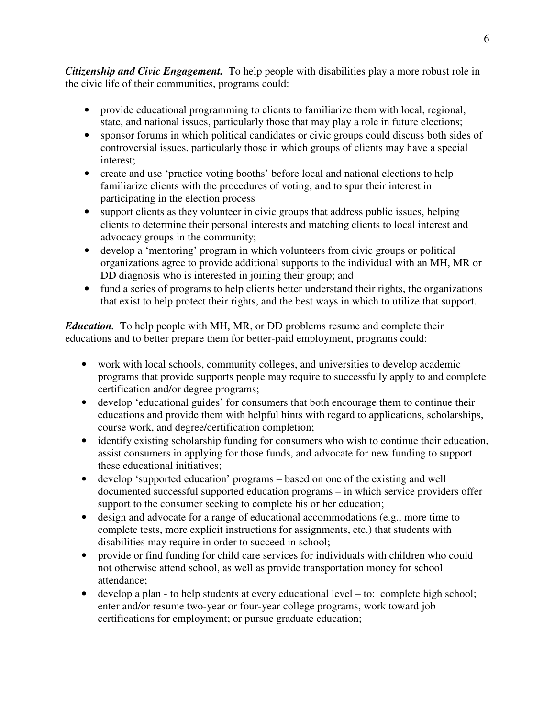*Citizenship and Civic Engagement.* To help people with disabilities play a more robust role in the civic life of their communities, programs could:

- provide educational programming to clients to familiarize them with local, regional, state, and national issues, particularly those that may play a role in future elections;
- sponsor forums in which political candidates or civic groups could discuss both sides of controversial issues, particularly those in which groups of clients may have a special interest;
- create and use 'practice voting booths' before local and national elections to help familiarize clients with the procedures of voting, and to spur their interest in participating in the election process
- support clients as they volunteer in civic groups that address public issues, helping clients to determine their personal interests and matching clients to local interest and advocacy groups in the community;
- develop a 'mentoring' program in which volunteers from civic groups or political organizations agree to provide additional supports to the individual with an MH, MR or DD diagnosis who is interested in joining their group; and
- fund a series of programs to help clients better understand their rights, the organizations that exist to help protect their rights, and the best ways in which to utilize that support.

*Education.* To help people with MH, MR, or DD problems resume and complete their educations and to better prepare them for better-paid employment, programs could:

- work with local schools, community colleges, and universities to develop academic programs that provide supports people may require to successfully apply to and complete certification and/or degree programs;
- develop 'educational guides' for consumers that both encourage them to continue their educations and provide them with helpful hints with regard to applications, scholarships, course work, and degree/certification completion;
- identify existing scholarship funding for consumers who wish to continue their education, assist consumers in applying for those funds, and advocate for new funding to support these educational initiatives;
- develop 'supported education' programs based on one of the existing and well documented successful supported education programs – in which service providers offer support to the consumer seeking to complete his or her education;
- design and advocate for a range of educational accommodations (e.g., more time to complete tests, more explicit instructions for assignments, etc.) that students with disabilities may require in order to succeed in school;
- provide or find funding for child care services for individuals with children who could not otherwise attend school, as well as provide transportation money for school attendance;
- develop a plan to help students at every educational level to: complete high school; enter and/or resume two-year or four-year college programs, work toward job certifications for employment; or pursue graduate education;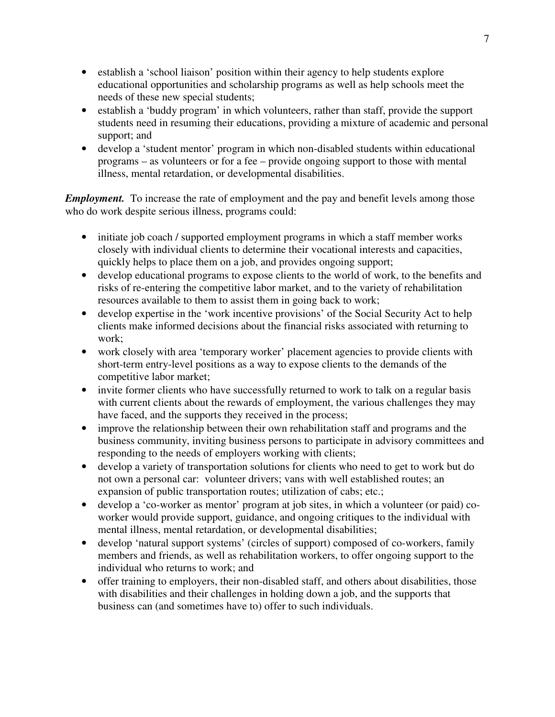- establish a 'school liaison' position within their agency to help students explore educational opportunities and scholarship programs as well as help schools meet the needs of these new special students;
- establish a 'buddy program' in which volunteers, rather than staff, provide the support students need in resuming their educations, providing a mixture of academic and personal support; and
- develop a 'student mentor' program in which non-disabled students within educational programs – as volunteers or for a fee – provide ongoing support to those with mental illness, mental retardation, or developmental disabilities.

*Employment.* To increase the rate of employment and the pay and benefit levels among those who do work despite serious illness, programs could:

- initiate job coach / supported employment programs in which a staff member works closely with individual clients to determine their vocational interests and capacities, quickly helps to place them on a job, and provides ongoing support;
- develop educational programs to expose clients to the world of work, to the benefits and risks of re-entering the competitive labor market, and to the variety of rehabilitation resources available to them to assist them in going back to work;
- develop expertise in the 'work incentive provisions' of the Social Security Act to help clients make informed decisions about the financial risks associated with returning to work;
- work closely with area 'temporary worker' placement agencies to provide clients with short-term entry-level positions as a way to expose clients to the demands of the competitive labor market;
- invite former clients who have successfully returned to work to talk on a regular basis with current clients about the rewards of employment, the various challenges they may have faced, and the supports they received in the process;
- improve the relationship between their own rehabilitation staff and programs and the business community, inviting business persons to participate in advisory committees and responding to the needs of employers working with clients;
- develop a variety of transportation solutions for clients who need to get to work but do not own a personal car: volunteer drivers; vans with well established routes; an expansion of public transportation routes; utilization of cabs; etc.;
- develop a 'co-worker as mentor' program at job sites, in which a volunteer (or paid) coworker would provide support, guidance, and ongoing critiques to the individual with mental illness, mental retardation, or developmental disabilities;
- develop 'natural support systems' (circles of support) composed of co-workers, family members and friends, as well as rehabilitation workers, to offer ongoing support to the individual who returns to work; and
- offer training to employers, their non-disabled staff, and others about disabilities, those with disabilities and their challenges in holding down a job, and the supports that business can (and sometimes have to) offer to such individuals.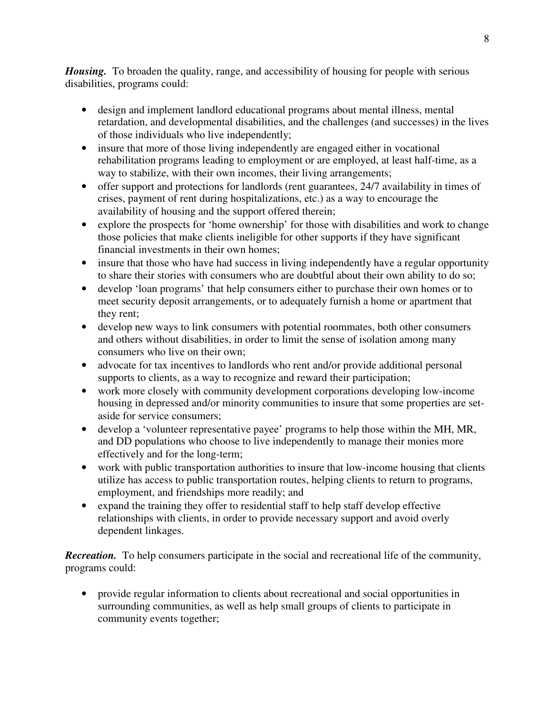*Housing.* To broaden the quality, range, and accessibility of housing for people with serious disabilities, programs could:

- design and implement landlord educational programs about mental illness, mental retardation, and developmental disabilities, and the challenges (and successes) in the lives of those individuals who live independently;
- insure that more of those living independently are engaged either in vocational rehabilitation programs leading to employment or are employed, at least half-time, as a way to stabilize, with their own incomes, their living arrangements;
- offer support and protections for landlords (rent guarantees, 24/7 availability in times of crises, payment of rent during hospitalizations, etc.) as a way to encourage the availability of housing and the support offered therein;
- explore the prospects for 'home ownership' for those with disabilities and work to change those policies that make clients ineligible for other supports if they have significant financial investments in their own homes;
- insure that those who have had success in living independently have a regular opportunity to share their stories with consumers who are doubtful about their own ability to do so;
- develop 'loan programs' that help consumers either to purchase their own homes or to meet security deposit arrangements, or to adequately furnish a home or apartment that they rent;
- develop new ways to link consumers with potential roommates, both other consumers and others without disabilities, in order to limit the sense of isolation among many consumers who live on their own;
- advocate for tax incentives to landlords who rent and/or provide additional personal supports to clients, as a way to recognize and reward their participation;
- work more closely with community development corporations developing low-income housing in depressed and/or minority communities to insure that some properties are setaside for service consumers;
- develop a 'volunteer representative payee' programs to help those within the MH, MR, and DD populations who choose to live independently to manage their monies more effectively and for the long-term;
- work with public transportation authorities to insure that low-income housing that clients utilize has access to public transportation routes, helping clients to return to programs, employment, and friendships more readily; and
- expand the training they offer to residential staff to help staff develop effective relationships with clients, in order to provide necessary support and avoid overly dependent linkages.

*Recreation.* To help consumers participate in the social and recreational life of the community, programs could:

• provide regular information to clients about recreational and social opportunities in surrounding communities, as well as help small groups of clients to participate in community events together;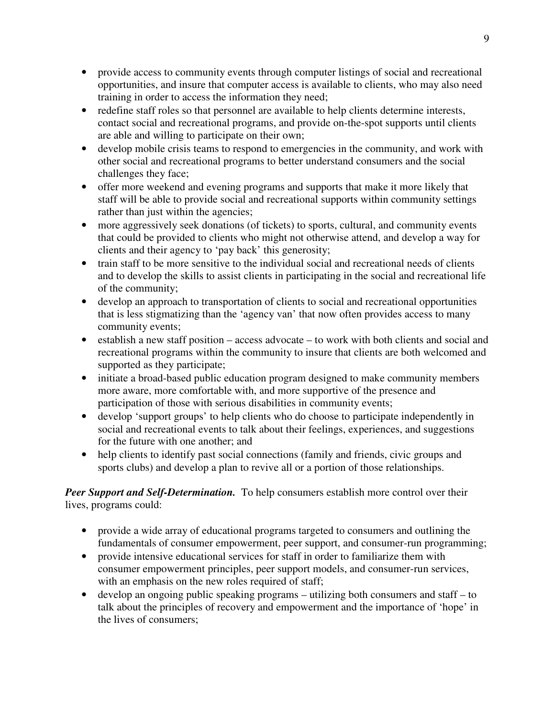- provide access to community events through computer listings of social and recreational opportunities, and insure that computer access is available to clients, who may also need training in order to access the information they need;
- redefine staff roles so that personnel are available to help clients determine interests, contact social and recreational programs, and provide on-the-spot supports until clients are able and willing to participate on their own;
- develop mobile crisis teams to respond to emergencies in the community, and work with other social and recreational programs to better understand consumers and the social challenges they face;
- offer more weekend and evening programs and supports that make it more likely that staff will be able to provide social and recreational supports within community settings rather than just within the agencies;
- more aggressively seek donations (of tickets) to sports, cultural, and community events that could be provided to clients who might not otherwise attend, and develop a way for clients and their agency to 'pay back' this generosity;
- train staff to be more sensitive to the individual social and recreational needs of clients and to develop the skills to assist clients in participating in the social and recreational life of the community;
- develop an approach to transportation of clients to social and recreational opportunities that is less stigmatizing than the 'agency van' that now often provides access to many community events;
- establish a new staff position access advocate to work with both clients and social and recreational programs within the community to insure that clients are both welcomed and supported as they participate;
- initiate a broad-based public education program designed to make community members more aware, more comfortable with, and more supportive of the presence and participation of those with serious disabilities in community events;
- develop 'support groups' to help clients who do choose to participate independently in social and recreational events to talk about their feelings, experiences, and suggestions for the future with one another; and
- help clients to identify past social connections (family and friends, civic groups and sports clubs) and develop a plan to revive all or a portion of those relationships.

*Peer Support and Self-Determination.* To help consumers establish more control over their lives, programs could:

- provide a wide array of educational programs targeted to consumers and outlining the fundamentals of consumer empowerment, peer support, and consumer-run programming;
- provide intensive educational services for staff in order to familiarize them with consumer empowerment principles, peer support models, and consumer-run services, with an emphasis on the new roles required of staff;
- develop an ongoing public speaking programs utilizing both consumers and staff to talk about the principles of recovery and empowerment and the importance of 'hope' in the lives of consumers;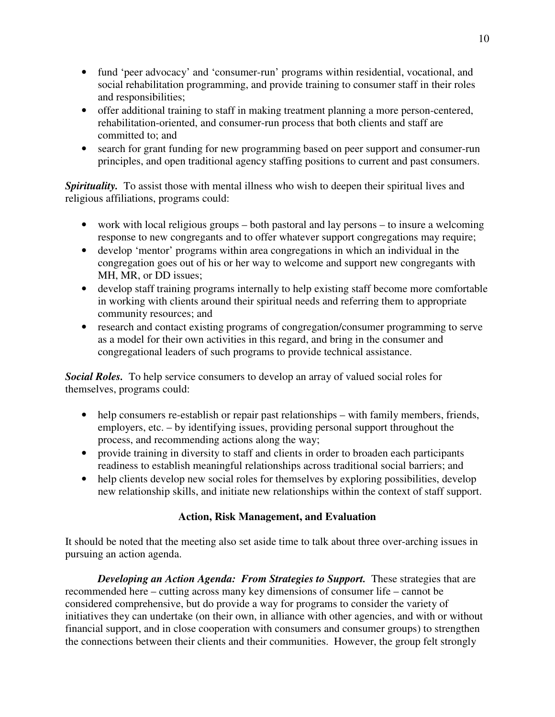- fund 'peer advocacy' and 'consumer-run' programs within residential, vocational, and social rehabilitation programming, and provide training to consumer staff in their roles and responsibilities;
- offer additional training to staff in making treatment planning a more person-centered, rehabilitation-oriented, and consumer-run process that both clients and staff are committed to; and
- search for grant funding for new programming based on peer support and consumer-run principles, and open traditional agency staffing positions to current and past consumers.

**Spirituality.** To assist those with mental illness who wish to deepen their spiritual lives and religious affiliations, programs could:

- work with local religious groups both pastoral and lay persons to insure a welcoming response to new congregants and to offer whatever support congregations may require;
- develop 'mentor' programs within area congregations in which an individual in the congregation goes out of his or her way to welcome and support new congregants with MH, MR, or DD issues;
- develop staff training programs internally to help existing staff become more comfortable in working with clients around their spiritual needs and referring them to appropriate community resources; and
- research and contact existing programs of congregation/consumer programming to serve as a model for their own activities in this regard, and bring in the consumer and congregational leaders of such programs to provide technical assistance.

*Social Roles.* To help service consumers to develop an array of valued social roles for themselves, programs could:

- help consumers re-establish or repair past relationships with family members, friends, employers, etc. – by identifying issues, providing personal support throughout the process, and recommending actions along the way;
- provide training in diversity to staff and clients in order to broaden each participants readiness to establish meaningful relationships across traditional social barriers; and
- help clients develop new social roles for themselves by exploring possibilities, develop new relationship skills, and initiate new relationships within the context of staff support.

### **Action, Risk Management, and Evaluation**

It should be noted that the meeting also set aside time to talk about three over-arching issues in pursuing an action agenda.

*Developing an Action Agenda: From Strategies to Support.* These strategies that are recommended here – cutting across many key dimensions of consumer life – cannot be considered comprehensive, but do provide a way for programs to consider the variety of initiatives they can undertake (on their own, in alliance with other agencies, and with or without financial support, and in close cooperation with consumers and consumer groups) to strengthen the connections between their clients and their communities. However, the group felt strongly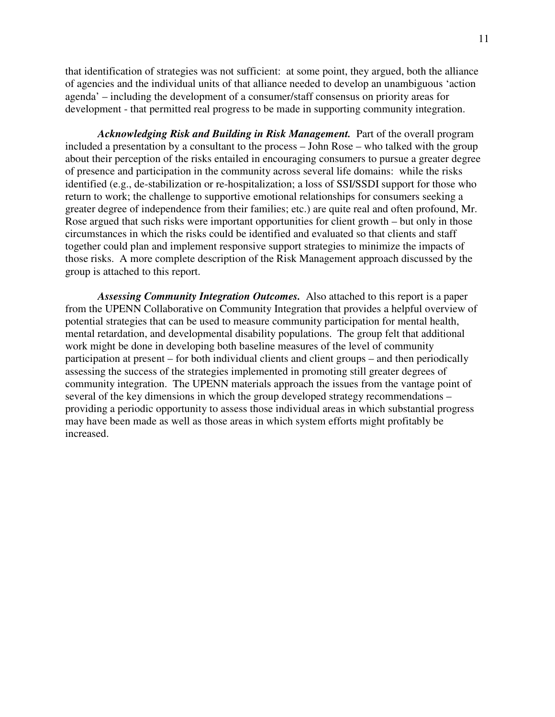that identification of strategies was not sufficient: at some point, they argued, both the alliance of agencies and the individual units of that alliance needed to develop an unambiguous 'action agenda' – including the development of a consumer/staff consensus on priority areas for development - that permitted real progress to be made in supporting community integration.

*Acknowledging Risk and Building in Risk Management.* Part of the overall program included a presentation by a consultant to the process – John Rose – who talked with the group about their perception of the risks entailed in encouraging consumers to pursue a greater degree of presence and participation in the community across several life domains: while the risks identified (e.g., de-stabilization or re-hospitalization; a loss of SSI/SSDI support for those who return to work; the challenge to supportive emotional relationships for consumers seeking a greater degree of independence from their families; etc.) are quite real and often profound, Mr. Rose argued that such risks were important opportunities for client growth – but only in those circumstances in which the risks could be identified and evaluated so that clients and staff together could plan and implement responsive support strategies to minimize the impacts of those risks. A more complete description of the Risk Management approach discussed by the group is attached to this report.

*Assessing Community Integration Outcomes.* Also attached to this report is a paper from the UPENN Collaborative on Community Integration that provides a helpful overview of potential strategies that can be used to measure community participation for mental health, mental retardation, and developmental disability populations. The group felt that additional work might be done in developing both baseline measures of the level of community participation at present – for both individual clients and client groups – and then periodically assessing the success of the strategies implemented in promoting still greater degrees of community integration. The UPENN materials approach the issues from the vantage point of several of the key dimensions in which the group developed strategy recommendations – providing a periodic opportunity to assess those individual areas in which substantial progress may have been made as well as those areas in which system efforts might profitably be increased.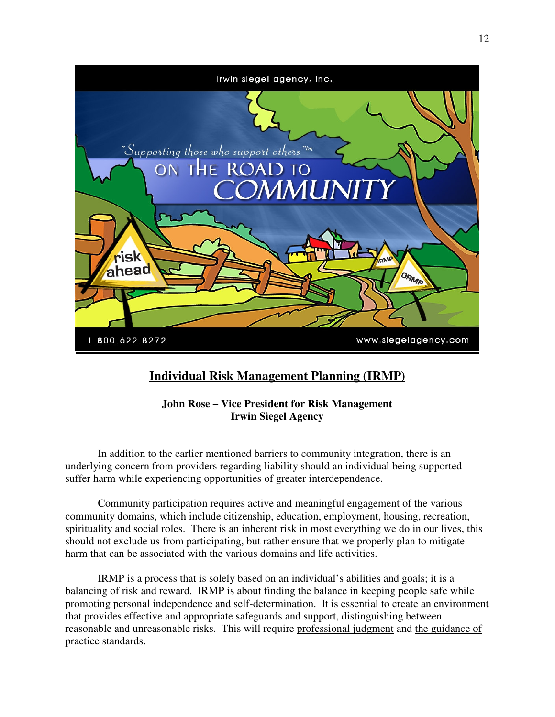

# **Individual Risk Management Planning (IRMP)**

**John Rose – Vice President for Risk Management Irwin Siegel Agency** 

 In addition to the earlier mentioned barriers to community integration, there is an underlying concern from providers regarding liability should an individual being supported suffer harm while experiencing opportunities of greater interdependence.

 Community participation requires active and meaningful engagement of the various community domains, which include citizenship, education, employment, housing, recreation, spirituality and social roles. There is an inherent risk in most everything we do in our lives, this should not exclude us from participating, but rather ensure that we properly plan to mitigate harm that can be associated with the various domains and life activities.

 IRMP is a process that is solely based on an individual's abilities and goals; it is a balancing of risk and reward. IRMP is about finding the balance in keeping people safe while promoting personal independence and self-determination. It is essential to create an environment that provides effective and appropriate safeguards and support, distinguishing between reasonable and unreasonable risks. This will require professional judgment and the guidance of practice standards.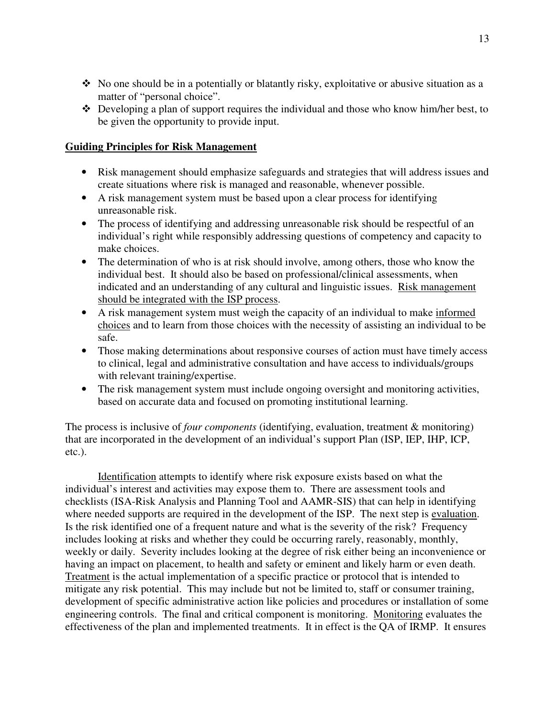- $\bullet$  No one should be in a potentially or blatantly risky, exploitative or abusive situation as a matter of "personal choice".
- Developing a plan of support requires the individual and those who know him/her best, to be given the opportunity to provide input.

### **Guiding Principles for Risk Management**

- Risk management should emphasize safeguards and strategies that will address issues and create situations where risk is managed and reasonable, whenever possible.
- A risk management system must be based upon a clear process for identifying unreasonable risk.
- The process of identifying and addressing unreasonable risk should be respectful of an individual's right while responsibly addressing questions of competency and capacity to make choices.
- The determination of who is at risk should involve, among others, those who know the individual best. It should also be based on professional/clinical assessments, when indicated and an understanding of any cultural and linguistic issues. Risk management should be integrated with the ISP process.
- A risk management system must weigh the capacity of an individual to make informed choices and to learn from those choices with the necessity of assisting an individual to be safe.
- Those making determinations about responsive courses of action must have timely access to clinical, legal and administrative consultation and have access to individuals/groups with relevant training/expertise.
- The risk management system must include ongoing oversight and monitoring activities, based on accurate data and focused on promoting institutional learning.

The process is inclusive of *four components* (identifying, evaluation, treatment & monitoring) that are incorporated in the development of an individual's support Plan (ISP, IEP, IHP, ICP, etc.).

 Identification attempts to identify where risk exposure exists based on what the individual's interest and activities may expose them to. There are assessment tools and checklists (ISA-Risk Analysis and Planning Tool and AAMR-SIS) that can help in identifying where needed supports are required in the development of the ISP. The next step is evaluation. Is the risk identified one of a frequent nature and what is the severity of the risk? Frequency includes looking at risks and whether they could be occurring rarely, reasonably, monthly, weekly or daily. Severity includes looking at the degree of risk either being an inconvenience or having an impact on placement, to health and safety or eminent and likely harm or even death. Treatment is the actual implementation of a specific practice or protocol that is intended to mitigate any risk potential. This may include but not be limited to, staff or consumer training, development of specific administrative action like policies and procedures or installation of some engineering controls. The final and critical component is monitoring. Monitoring evaluates the effectiveness of the plan and implemented treatments. It in effect is the QA of IRMP. It ensures